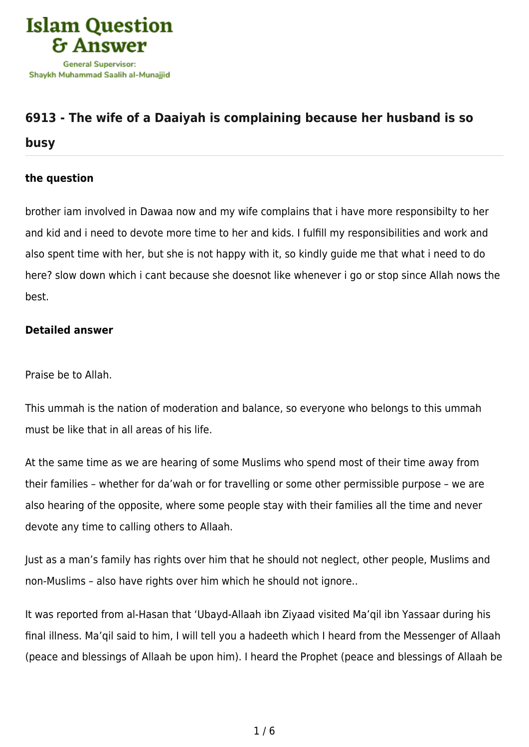

## **[6913 - The wife of a Daaiyah is complaining because her husband is so](https://islamqa.com/en/answers/6913/the-wife-of-a-daaiyah-is-complaining-because-her-husband-is-so-busy)**

## **[busy](https://islamqa.com/en/answers/6913/the-wife-of-a-daaiyah-is-complaining-because-her-husband-is-so-busy)**

## **the question**

brother iam involved in Dawaa now and my wife complains that i have more responsibilty to her and kid and i need to devote more time to her and kids. I fulfill my responsibilities and work and also spent time with her, but she is not happy with it, so kindly guide me that what i need to do here? slow down which i cant because she doesnot like whenever i go or stop since Allah nows the best.

## **Detailed answer**

Praise be to Allah.

This ummah is the nation of moderation and balance, so everyone who belongs to this ummah must be like that in all areas of his life.

At the same time as we are hearing of some Muslims who spend most of their time away from their families – whether for da'wah or for travelling or some other permissible purpose – we are also hearing of the opposite, where some people stay with their families all the time and never devote any time to calling others to Allaah.

Just as a man's family has rights over him that he should not neglect, other people, Muslims and non-Muslims – also have rights over him which he should not ignore..

It was reported from al-Hasan that 'Ubayd-Allaah ibn Ziyaad visited Ma'qil ibn Yassaar during his final illness. Ma'qil said to him, I will tell you a hadeeth which I heard from the Messenger of Allaah (peace and blessings of Allaah be upon him). I heard the Prophet (peace and blessings of Allaah be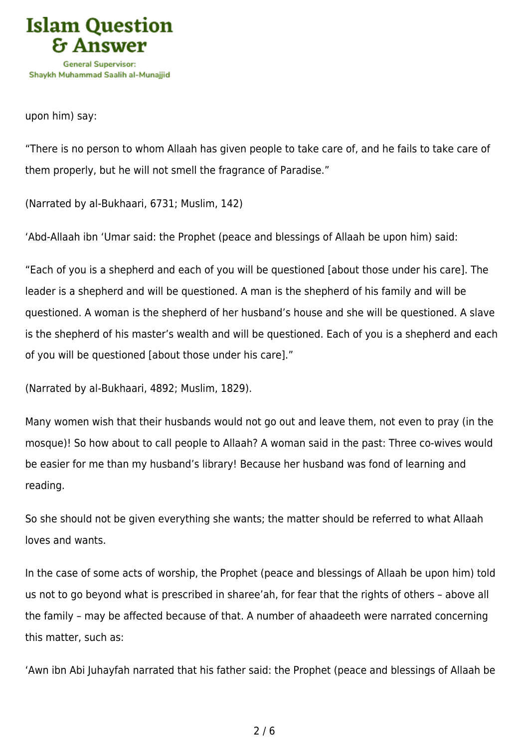

upon him) say:

"There is no person to whom Allaah has given people to take care of, and he fails to take care of them properly, but he will not smell the fragrance of Paradise."

(Narrated by al-Bukhaari, 6731; Muslim, 142)

'Abd-Allaah ibn 'Umar said: the Prophet (peace and blessings of Allaah be upon him) said:

"Each of you is a shepherd and each of you will be questioned [about those under his care]. The leader is a shepherd and will be questioned. A man is the shepherd of his family and will be questioned. A woman is the shepherd of her husband's house and she will be questioned. A slave is the shepherd of his master's wealth and will be questioned. Each of you is a shepherd and each of you will be questioned [about those under his care]."

(Narrated by al-Bukhaari, 4892; Muslim, 1829).

Many women wish that their husbands would not go out and leave them, not even to pray (in the mosque)! So how about to call people to Allaah? A woman said in the past: Three co-wives would be easier for me than my husband's library! Because her husband was fond of learning and reading.

So she should not be given everything she wants; the matter should be referred to what Allaah loves and wants.

In the case of some acts of worship, the Prophet (peace and blessings of Allaah be upon him) told us not to go beyond what is prescribed in sharee'ah, for fear that the rights of others – above all the family – may be affected because of that. A number of ahaadeeth were narrated concerning this matter, such as:

'Awn ibn Abi Juhayfah narrated that his father said: the Prophet (peace and blessings of Allaah be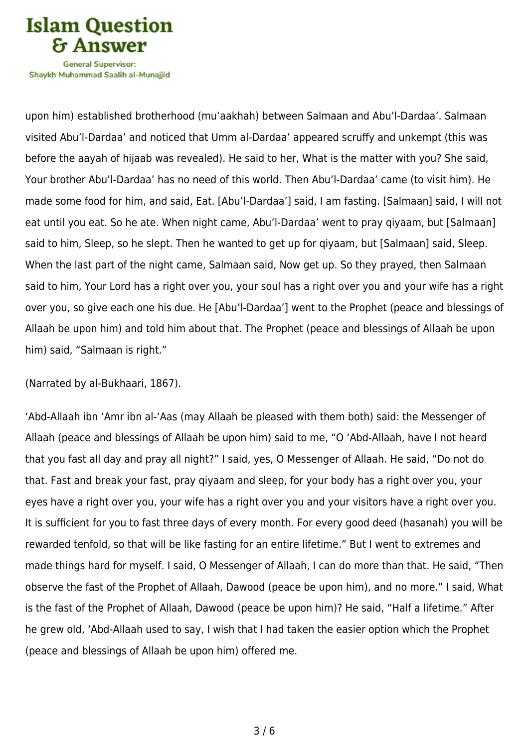

Shavkh Muhammad Saalih al-Munaiiid

upon him) established brotherhood (mu'aakhah) between Salmaan and Abu'l-Dardaa'. Salmaan visited Abu'l-Dardaa' and noticed that Umm al-Dardaa' appeared scruffy and unkempt (this was before the aayah of hijaab was revealed). He said to her, What is the matter with you? She said, Your brother Abu'l-Dardaa' has no need of this world. Then Abu'l-Dardaa' came (to visit him). He made some food for him, and said, Eat. [Abu'l-Dardaa'] said, I am fasting. [Salmaan] said, I will not eat until you eat. So he ate. When night came, Abu'l-Dardaa' went to pray qiyaam, but [Salmaan] said to him, Sleep, so he slept. Then he wanted to get up for qiyaam, but [Salmaan] said, Sleep. When the last part of the night came, Salmaan said, Now get up. So they prayed, then Salmaan said to him, Your Lord has a right over you, your soul has a right over you and your wife has a right over you, so give each one his due. He [Abu'l-Dardaa'] went to the Prophet (peace and blessings of Allaah be upon him) and told him about that. The Prophet (peace and blessings of Allaah be upon him) said, "Salmaan is right."

(Narrated by al-Bukhaari, 1867).

'Abd-Allaah ibn 'Amr ibn al-'Aas (may Allaah be pleased with them both) said: the Messenger of Allaah (peace and blessings of Allaah be upon him) said to me, "O 'Abd-Allaah, have I not heard that you fast all day and pray all night?" I said, yes, O Messenger of Allaah. He said, "Do not do that. Fast and break your fast, pray qiyaam and sleep, for your body has a right over you, your eyes have a right over you, your wife has a right over you and your visitors have a right over you. It is sufficient for you to fast three days of every month. For every good deed (hasanah) you will be rewarded tenfold, so that will be like fasting for an entire lifetime." But I went to extremes and made things hard for myself. I said, O Messenger of Allaah, I can do more than that. He said, "Then observe the fast of the Prophet of Allaah, Dawood (peace be upon him), and no more." I said, What is the fast of the Prophet of Allaah, Dawood (peace be upon him)? He said, "Half a lifetime." After he grew old, 'Abd-Allaah used to say, I wish that I had taken the easier option which the Prophet (peace and blessings of Allaah be upon him) offered me.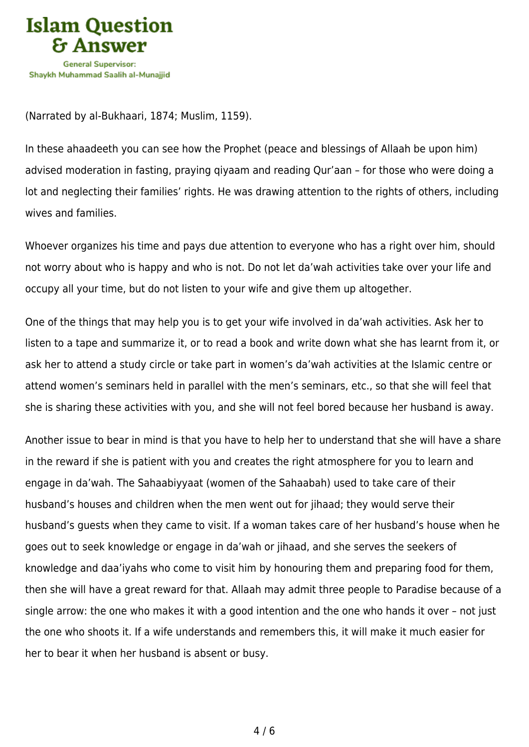

(Narrated by al-Bukhaari, 1874; Muslim, 1159).

In these ahaadeeth you can see how the Prophet (peace and blessings of Allaah be upon him) advised moderation in fasting, praying qiyaam and reading Qur'aan – for those who were doing a lot and neglecting their families' rights. He was drawing attention to the rights of others, including wives and families.

Whoever organizes his time and pays due attention to everyone who has a right over him, should not worry about who is happy and who is not. Do not let da'wah activities take over your life and occupy all your time, but do not listen to your wife and give them up altogether.

One of the things that may help you is to get your wife involved in da'wah activities. Ask her to listen to a tape and summarize it, or to read a book and write down what she has learnt from it, or ask her to attend a study circle or take part in women's da'wah activities at the Islamic centre or attend women's seminars held in parallel with the men's seminars, etc., so that she will feel that she is sharing these activities with you, and she will not feel bored because her husband is away.

Another issue to bear in mind is that you have to help her to understand that she will have a share in the reward if she is patient with you and creates the right atmosphere for you to learn and engage in da'wah. The Sahaabiyyaat (women of the Sahaabah) used to take care of their husband's houses and children when the men went out for jihaad; they would serve their husband's guests when they came to visit. If a woman takes care of her husband's house when he goes out to seek knowledge or engage in da'wah or jihaad, and she serves the seekers of knowledge and daa'iyahs who come to visit him by honouring them and preparing food for them, then she will have a great reward for that. Allaah may admit three people to Paradise because of a single arrow: the one who makes it with a good intention and the one who hands it over – not just the one who shoots it. If a wife understands and remembers this, it will make it much easier for her to bear it when her husband is absent or busy.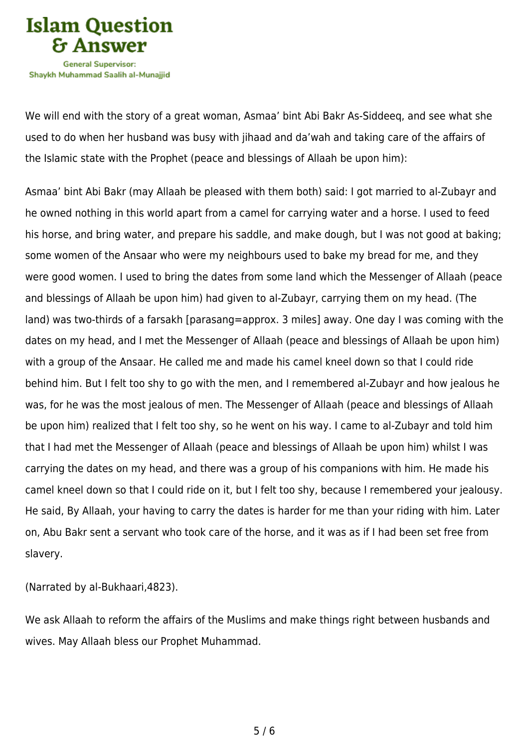

We will end with the story of a great woman, Asmaa' bint Abi Bakr As-Siddeeq, and see what she used to do when her husband was busy with jihaad and da'wah and taking care of the affairs of the Islamic state with the Prophet (peace and blessings of Allaah be upon him):

Asmaa' bint Abi Bakr (may Allaah be pleased with them both) said: I got married to al-Zubayr and he owned nothing in this world apart from a camel for carrying water and a horse. I used to feed his horse, and bring water, and prepare his saddle, and make dough, but I was not good at baking; some women of the Ansaar who were my neighbours used to bake my bread for me, and they were good women. I used to bring the dates from some land which the Messenger of Allaah (peace and blessings of Allaah be upon him) had given to al-Zubayr, carrying them on my head. (The land) was two-thirds of a farsakh [parasang=approx. 3 miles] away. One day I was coming with the dates on my head, and I met the Messenger of Allaah (peace and blessings of Allaah be upon him) with a group of the Ansaar. He called me and made his camel kneel down so that I could ride behind him. But I felt too shy to go with the men, and I remembered al-Zubayr and how jealous he was, for he was the most jealous of men. The Messenger of Allaah (peace and blessings of Allaah be upon him) realized that I felt too shy, so he went on his way. I came to al-Zubayr and told him that I had met the Messenger of Allaah (peace and blessings of Allaah be upon him) whilst I was carrying the dates on my head, and there was a group of his companions with him. He made his camel kneel down so that I could ride on it, but I felt too shy, because I remembered your jealousy. He said, By Allaah, your having to carry the dates is harder for me than your riding with him. Later on, Abu Bakr sent a servant who took care of the horse, and it was as if I had been set free from slavery.

(Narrated by al-Bukhaari,4823).

We ask Allaah to reform the affairs of the Muslims and make things right between husbands and wives. May Allaah bless our Prophet Muhammad.